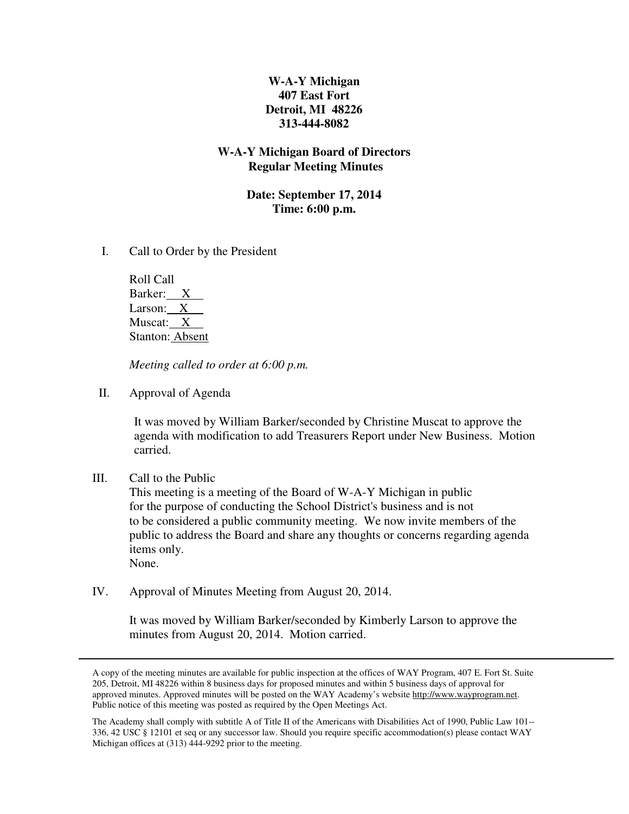# **W-A-Y Michigan 407 East Fort Detroit, MI 48226 313-444-8082**

## **W-A-Y Michigan Board of Directors Regular Meeting Minutes**

## **Date: September 17, 2014 Time: 6:00 p.m.**

I. Call to Order by the President

 Roll Call Barker: X Larson: X Muscat: X Stanton: Absent

 *Meeting called to order at 6:00 p.m.* 

II. Approval of Agenda

It was moved by William Barker/seconded by Christine Muscat to approve the agenda with modification to add Treasurers Report under New Business. Motion carried.

III. Call to the Public

 This meeting is a meeting of the Board of W-A-Y Michigan in public for the purpose of conducting the School District's business and is not to be considered a public community meeting. We now invite members of the public to address the Board and share any thoughts or concerns regarding agenda items only. None.

IV. Approval of Minutes Meeting from August 20, 2014.

It was moved by William Barker/seconded by Kimberly Larson to approve the minutes from August 20, 2014. Motion carried.

A copy of the meeting minutes are available for public inspection at the offices of WAY Program, 407 E. Fort St. Suite 205, Detroit, MI 48226 within 8 business days for proposed minutes and within 5 business days of approval for approved minutes. Approved minutes will be posted on the WAY Academy's website http://www.wayprogram.net. Public notice of this meeting was posted as required by the Open Meetings Act.

The Academy shall comply with subtitle A of Title II of the Americans with Disabilities Act of 1990, Public Law 101-- 336, 42 USC § 12101 et seq or any successor law. Should you require specific accommodation(s) please contact WAY Michigan offices at (313) 444-9292 prior to the meeting.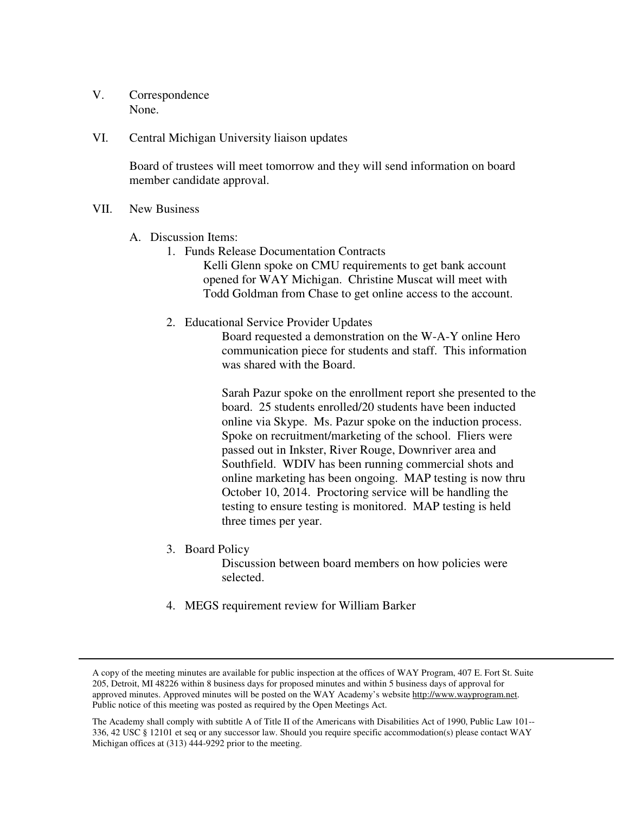- V. Correspondence None.
- VI. Central Michigan University liaison updates

Board of trustees will meet tomorrow and they will send information on board member candidate approval.

- VII. New Business
	- A. Discussion Items:
		- 1. Funds Release Documentation Contracts
			- Kelli Glenn spoke on CMU requirements to get bank account opened for WAY Michigan. Christine Muscat will meet with Todd Goldman from Chase to get online access to the account.
		- 2. Educational Service Provider Updates

Board requested a demonstration on the W-A-Y online Hero communication piece for students and staff. This information was shared with the Board.

Sarah Pazur spoke on the enrollment report she presented to the board. 25 students enrolled/20 students have been inducted online via Skype. Ms. Pazur spoke on the induction process. Spoke on recruitment/marketing of the school. Fliers were passed out in Inkster, River Rouge, Downriver area and Southfield. WDIV has been running commercial shots and online marketing has been ongoing. MAP testing is now thru October 10, 2014. Proctoring service will be handling the testing to ensure testing is monitored. MAP testing is held three times per year.

3. Board Policy

Discussion between board members on how policies were selected.

4. MEGS requirement review for William Barker

A copy of the meeting minutes are available for public inspection at the offices of WAY Program, 407 E. Fort St. Suite 205, Detroit, MI 48226 within 8 business days for proposed minutes and within 5 business days of approval for approved minutes. Approved minutes will be posted on the WAY Academy's website http://www.wayprogram.net. Public notice of this meeting was posted as required by the Open Meetings Act.

The Academy shall comply with subtitle A of Title II of the Americans with Disabilities Act of 1990, Public Law 101-- 336, 42 USC § 12101 et seq or any successor law. Should you require specific accommodation(s) please contact WAY Michigan offices at (313) 444-9292 prior to the meeting.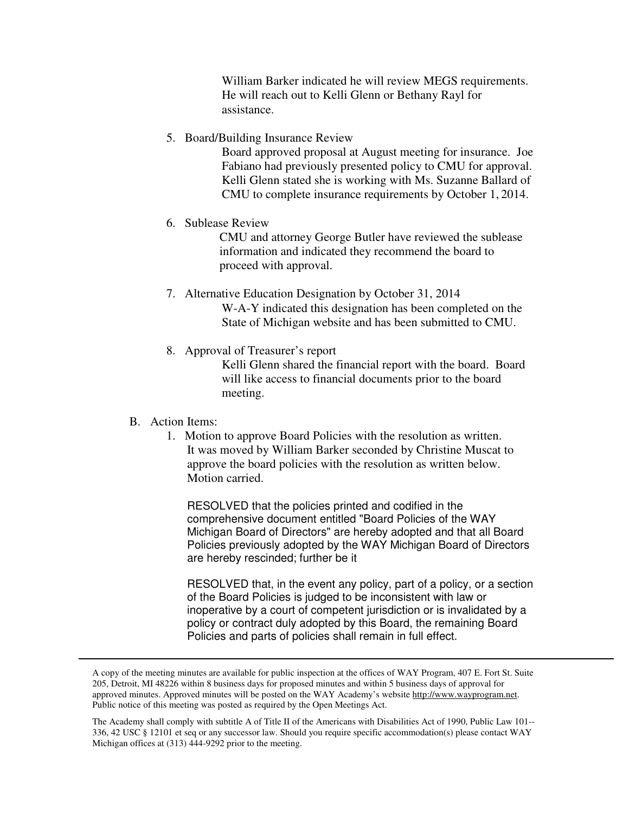William Barker indicated he will review MEGS requirements. He will reach out to Kelli Glenn or Bethany Rayl for assistance.

5. Board/Building Insurance Review

Board approved proposal at August meeting for insurance. Joe Fabiano had previously presented policy to CMU for approval. Kelli Glenn stated she is working with Ms. Suzanne Ballard of CMU to complete insurance requirements by October 1, 2014.

6. Sublease Review

CMU and attorney George Butler have reviewed the sublease information and indicated they recommend the board to proceed with approval.

- 7. Alternative Education Designation by October 31, 2014 W-A-Y indicated this designation has been completed on the State of Michigan website and has been submitted to CMU.
- 8. Approval of Treasurer's report

Kelli Glenn shared the financial report with the board. Board will like access to financial documents prior to the board meeting.

## B. Action Items:

1. Motion to approve Board Policies with the resolution as written. It was moved by William Barker seconded by Christine Muscat to approve the board policies with the resolution as written below. Motion carried.

RESOLVED that the policies printed and codified in the comprehensive document entitled "Board Policies of the WAY Michigan Board of Directors" are hereby adopted and that all Board Policies previously adopted by the WAY Michigan Board of Directors are hereby rescinded; further be it

RESOLVED that, in the event any policy, part of a policy, or a section of the Board Policies is judged to be inconsistent with law or inoperative by a court of competent jurisdiction or is invalidated by a policy or contract duly adopted by this Board, the remaining Board Policies and parts of policies shall remain in full effect.

A copy of the meeting minutes are available for public inspection at the offices of WAY Program, 407 E. Fort St. Suite 205, Detroit, MI 48226 within 8 business days for proposed minutes and within 5 business days of approval for approved minutes. Approved minutes will be posted on the WAY Academy's website http://www.wayprogram.net. Public notice of this meeting was posted as required by the Open Meetings Act.

The Academy shall comply with subtitle A of Title II of the Americans with Disabilities Act of 1990, Public Law 101-- 336, 42 USC § 12101 et seq or any successor law. Should you require specific accommodation(s) please contact WAY Michigan offices at (313) 444-9292 prior to the meeting.